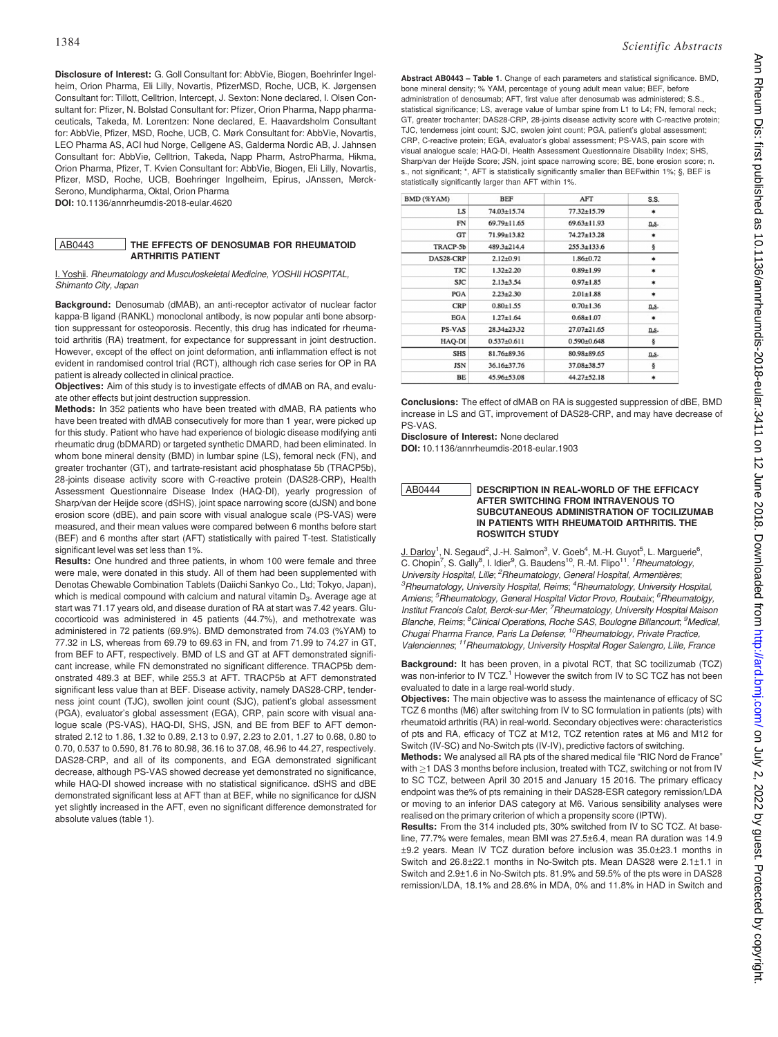Disclosure of Interest: G. Goll Consultant for: AbbVie, Biogen, Boehrinfer Ingelheim, Orion Pharma, Eli Lilly, Novartis, PfizerMSD, Roche, UCB, K. Jørgensen Consultant for: Tillott, Celltrion, Intercept, J. Sexton: None declared, I. Olsen Consultant for: Pfizer, N. Bolstad Consultant for: Pfizer, Orion Pharma, Napp pharmaceuticals, Takeda, M. Lorentzen: None declared, E. Haavardsholm Consultant for: AbbVie, Pfizer, MSD, Roche, UCB, C. Mørk Consultant for: AbbVie, Novartis, LEO Pharma AS, ACI hud Norge, Cellgene AS, Galderma Nordic AB, J. Jahnsen Consultant for: AbbVie, Celltrion, Takeda, Napp Pharm, AstroPharma, Hikma, Orion Pharma, Pfizer, T. Kvien Consultant for: AbbVie, Biogen, Eli Lilly, Novartis, Pfizer, MSD, Roche, UCB, Boehringer Ingelheim, Epirus, JAnssen, Merck-Serono, Mundipharma, Oktal, Orion Pharma DOI: 10.1136/annrheumdis-2018-eular.4620

#### AB0443 THE EFFECTS OF DENOSUMAB FOR RHEUMATOID ARTHRITIS PATIENT

I. Yoshii. Rheumatology and Musculoskeletal Medicine, YOSHII HOSPITAL, Shimanto City, Japan

Background: Denosumab (dMAB), an anti-receptor activator of nuclear factor kappa-B ligand (RANKL) monoclonal antibody, is now popular anti bone absorption suppressant for osteoporosis. Recently, this drug has indicated for rheumatoid arthritis (RA) treatment, for expectance for suppressant in joint destruction. However, except of the effect on joint deformation, anti inflammation effect is not evident in randomised control trial (RCT), although rich case series for OP in RA patient is already collected in clinical practice.

Objectives: Aim of this study is to investigate effects of dMAB on RA, and evaluate other effects but joint destruction suppression.

Methods: In 352 patients who have been treated with dMAB, RA patients who have been treated with dMAB consecutively for more than 1 year, were picked up for this study. Patient who have had experience of biologic disease modifying anti rheumatic drug (bDMARD) or targeted synthetic DMARD, had been eliminated. In whom bone mineral density (BMD) in lumbar spine (LS), femoral neck (FN), and greater trochanter (GT), and tartrate-resistant acid phosphatase 5b (TRACP5b), 28-joints disease activity score with C-reactive protein (DAS28-CRP), Health Assessment Questionnaire Disease Index (HAQ-DI), yearly progression of Sharp/van der Heijde score (dSHS), joint space narrowing score (dJSN) and bone erosion score (dBE), and pain score with visual analogue scale (PS-VAS) were measured, and their mean values were compared between 6 months before start (BEF) and 6 months after start (AFT) statistically with paired T-test. Statistically significant level was set less than 1%.

Results: One hundred and three patients, in whom 100 were female and three were male, were donated in this study. All of them had been supplemented with Denotas Chewable Combination Tablets (Daiichi Sankyo Co., Ltd; Tokyo, Japan), which is medical compound with calcium and natural vitamin  $D_3$ . Average age at start was 71.17 years old, and disease duration of RA at start was 7.42 years. Glucocorticoid was administered in 45 patients (44.7%), and methotrexate was administered in 72 patients (69.9%). BMD demonstrated from 74.03 (%YAM) to 77.32 in LS, whereas from 69.79 to 69.63 in FN, and from 71.99 to 74.27 in GT, from BEF to AFT, respectively. BMD of LS and GT at AFT demonstrated significant increase, while FN demonstrated no significant difference. TRACP5b demonstrated 489.3 at BEF, while 255.3 at AFT. TRACP5b at AFT demonstrated significant less value than at BEF. Disease activity, namely DAS28-CRP, tenderness joint count (TJC), swollen joint count (SJC), patient's global assessment (PGA), evaluator's global assessment (EGA), CRP, pain score with visual analogue scale (PS-VAS), HAQ-DI, SHS, JSN, and BE from BEF to AFT demonstrated 2.12 to 1.86, 1.32 to 0.89, 2.13 to 0.97, 2.23 to 2.01, 1.27 to 0.68, 0.80 to 0.70, 0.537 to 0.590, 81.76 to 80.98, 36.16 to 37.08, 46.96 to 44.27, respectively. DAS28-CRP, and all of its components, and EGA demonstrated significant decrease, although PS-VAS showed decrease yet demonstrated no significance, while HAQ-DI showed increase with no statistical significance. dSHS and dBE demonstrated significant less at AFT than at BEF, while no significance for dJSN yet slightly increased in the AFT, even no significant difference demonstrated for absolute values (table 1).

Abstract AB0443 – Table 1. Change of each parameters and statistical significance. BMD, bone mineral density; % YAM, percentage of young adult mean value; BEF, before administration of denosumab; AFT, first value after denosumab was administered; S.S. statistical significance; LS, average value of lumbar spine from L1 to L4; FN, femoral neck; GT, greater trochanter; DAS28-CRP, 28-joints disease activity score with C-reactive protein; TJC, tenderness joint count; SJC, swolen joint count; PGA, patient's global assessment; CRP, C-reactive protein; EGA, evaluator's global assessment; PS-VAS, pain score with visual analogue scale; HAQ-DI, Health Assessment Questionnaire Disability Index; SHS, Sharp/van der Heijde Score; JSN, joint space narrowing score; BE, bone erosion score; n. s., not significant; \*, AFT is statistically significantly smaller than BEFwithin 1%; §, BEF is statistically significantly larger than AFT within 1%.

| BMD (%YAM)    | <b>BEF</b>        | AFT               | S.S.    |
|---------------|-------------------|-------------------|---------|
| LS            | 74.03±15.74       | 77.32±15.79       | $\ast$  |
| FN            | $69.79 \pm 11.65$ | $69.63 \pm 11.93$ | ns.     |
| GT            | 71.99±13.82       | 74.27±13.28       | $\ast$  |
| TRACP-5b      | $489.3 \pm 214.4$ | $255.3 \pm 133.6$ | ş       |
| DAS28-CRP     | $2.12 \pm 0.91$   | $1.86 \pm 0.72$   | $\ast$  |
| <b>TJC</b>    | $1.32 \pm 2.20$   | $0.89 \pm 1.99$   | $\ast$  |
| <b>SJC</b>    | $2.13 \pm 3.54$   | $0.97 \pm 1.85$   | $\ast$  |
| PGA           | $2.23 \pm 2.30$   | $2.01 \pm 1.88$   | $\ast$  |
| <b>CRP</b>    | $0.80 + 1.55$     | $0.70 \pm 1.36$   | ns.     |
| <b>EGA</b>    | $1.27 \pm 1.64$   | $0.68 \pm 1.07$   | $\ast$  |
| <b>PS-VAS</b> | $28.34 + 23.32$   | $27.07 \pm 21.65$ | ns.     |
| HAO-DI        | $0.537 + 0.611$   | $0.590+0.648$     | ş       |
| <b>SHS</b>    | 81.76±89.36       | 80.98±89.65       | ns.     |
| <b>JSN</b>    | $36.16 \pm 37.76$ | 37.08±38.57       | ş       |
| BE            | 45.96±53.08       | 44.27±52.18       | $\star$ |

Conclusions: The effect of dMAB on RA is suggested suppression of dBE, BMD increase in LS and GT, improvement of DAS28-CRP, and may have decrease of PS-VAS.

Disclosure of Interest: None declared

DOI: 10.1136/annrheumdis-2018-eular.1903

## AB0444 DESCRIPTION IN REAL-WORLD OF THE EFFICACY AFTER SWITCHING FROM INTRAVENOUS TO SUBCUTANEOUS ADMINISTRATION OF TOCILIZUMAB IN PATIENTS WITH RHEUMATOID ARTHRITIS. THE ROSWITCH STUDY

J. Darloy<sup>1</sup>, N. Segaud<sup>2</sup>, J.-H. Salmon<sup>3</sup>, V. Goeb<sup>4</sup>, M.-H. Guyot<sup>5</sup>, L. Marguerie<sup>6</sup>, C. Chopin<sup>7</sup>, S. Gally<sup>8</sup>, I. Idier<sup>9</sup>, G. Baudens<sup>10</sup>, R.-M. Flipo<sup>11</sup>. <sup>1</sup>Rheumatology, University Hospital, Lille; <sup>2</sup>Rheumatology, General Hospital, Armentières; <sup>3</sup>Rheumatology, University Hospital, Reims; <sup>4</sup>Rheumatology, University Hospital, Amiens; <sup>5</sup>Rheumatology, General Hospital Victor Provo, Roubaix; <sup>6</sup>Rheumatolgy, Institut Francois Calot, Berck-sur-Mer, <sup>7</sup>Rheumatology, University Hospital Maison Blanche, Reims; <sup>8</sup>Clinical Operations, Roche SAS, Boulogne Billancourt; <sup>9</sup>Medical, Chugai Pharma France, Paris La Defense; 10Rheumatology, Private Practice, Valenciennes; 11Rheumatology, University Hospital Roger Salengro, Lille, France

Background: It has been proven, in a pivotal RCT, that SC tocilizumab (TCZ) was non-inferior to IV TCZ.<sup>1</sup> However the switch from IV to SC TCZ has not been evaluated to date in a large real-world study.

Objectives: The main objective was to assess the maintenance of efficacy of SC TCZ 6 months (M6) after switching from IV to SC formulation in patients (pts) with rheumatoid arthritis (RA) in real-world. Secondary objectives were: characteristics of pts and RA, efficacy of TCZ at M12, TCZ retention rates at M6 and M12 for Switch (IV-SC) and No-Switch pts (IV-IV), predictive factors of switching.

Methods: We analysed all RA pts of the shared medical file "RIC Nord de France" with  $>$ 1 DAS 3 months before inclusion, treated with TCZ, switching or not from IV to SC TCZ, between April 30 2015 and January 15 2016. The primary efficacy endpoint was the% of pts remaining in their DAS28-ESR category remission/LDA or moving to an inferior DAS category at M6. Various sensibility analyses were realised on the primary criterion of which a propensity score (IPTW).

Results: From the 314 included pts, 30% switched from IV to SC TCZ. At baseline, 77.7% were females, mean BMI was 27.5±6.4, mean RA duration was 14.9 ±9.2 years. Mean IV TCZ duration before inclusion was 35.0±23.1 months in Switch and 26.8±22.1 months in No-Switch pts. Mean DAS28 were 2.1±1.1 in Switch and 2.9±1.6 in No-Switch pts. 81.9% and 59.5% of the pts were in DAS28 remission/LDA, 18.1% and 28.6% in MDA, 0% and 11.8% in HAD in Switch and